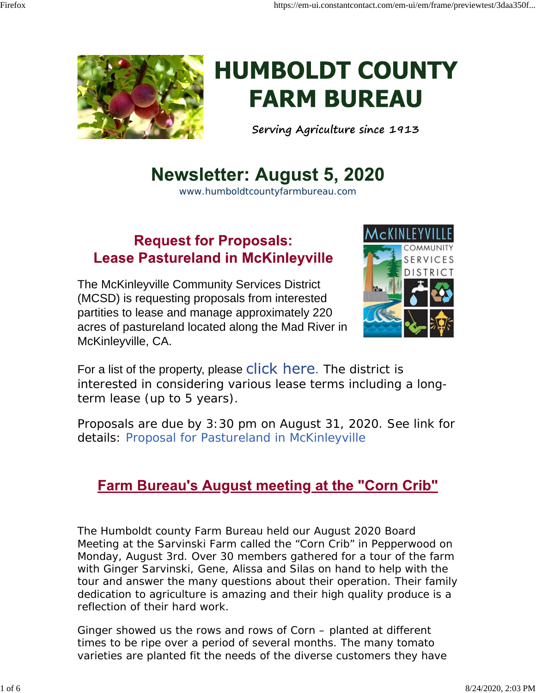



# **HUMBOLDT COUNTY FARM BUREAU**

**Serving Agriculture since 1913**

# **Newsletter: August 5, 2020**

www.humboldtcountyfarmbureau.com

#### **Request for Proposals: Lease Pastureland in McKinleyville**

The McKinleyville Community Services District (MCSD) is requesting proposals from interested partities to lease and manage approximately 220 acres of pastureland located along the Mad River in McKinleyville, CA.



For a list of the property, please click here. The district is interested in considering various lease terms including a longterm lease (up to 5 years).

Proposals are due by 3:30 pm on August 31, 2020. See link for details: Proposal for Pastureland in McKinleyville

#### Farm Bureau's August meeting at the "Corn Crib"

The Humboldt county Farm Bureau held our August 2020 Board Meeting at the Sarvinski Farm called the "Corn Crib" in Pepperwood on Monday, August 3rd. Over 30 members gathered for a tour of the farm with Ginger Sarvinski, Gene, Alissa and Silas on hand to help with the tour and answer the many questions about their operation. Their family dedication to agriculture is amazing and their high quality produce is a reflection of their hard work.

Ginger showed us the rows and rows of Corn – planted at different times to be ripe over a period of several months. The many tomato varieties are planted fit the needs of the diverse customers they have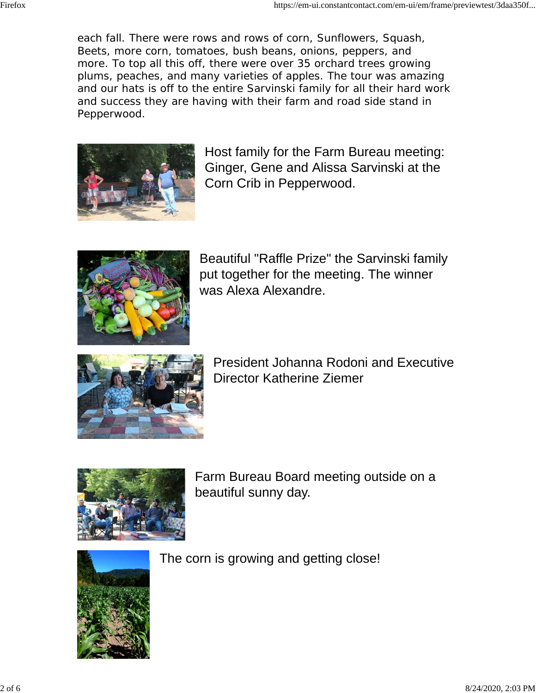each fall. There were rows and rows of corn, Sunflowers, Squash, Beets, more corn, tomatoes, bush beans, onions, peppers, and more. To top all this off, there were over 35 orchard trees growing plums, peaches, and many varieties of apples. The tour was amazing and our hats is off to the entire Sarvinski family for all their hard work and success they are having with their farm and road side stand in Pepperwood.



Host family for the Farm Bureau meeting: Ginger, Gene and Alissa Sarvinski at the Corn Crib in Pepperwood.



Beautiful "Raffle Prize" the Sarvinski family put together for the meeting. The winner was Alexa Alexandre.



President Johanna Rodoni and Executive Director Katherine Ziemer



Farm Bureau Board meeting outside on a beautiful sunny day.



The corn is growing and getting close!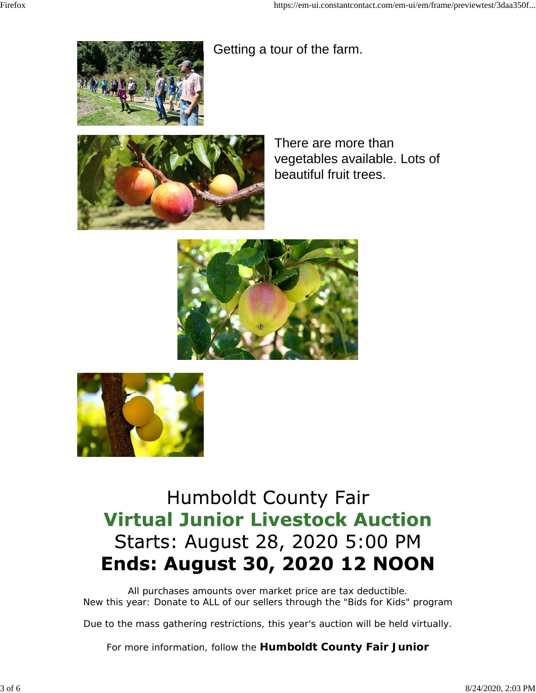Getting a tour of the farm.





There are more than vegetables available. Lots of beautiful fruit trees.





# **Humboldt County Fair Virtual Junior Livestock Auction** Starts: August 28, 2020 5:00 PM **Ends: August 30, 2020 12 NOON**

All purchases amounts over market price are tax deductible. New this year: Donate to ALL of our sellers through the "Bids for Kids" program

Due to the mass gathering restrictions, this year's auction will be held virtually.

For more information, follow the **Humboldt County Fair Junior**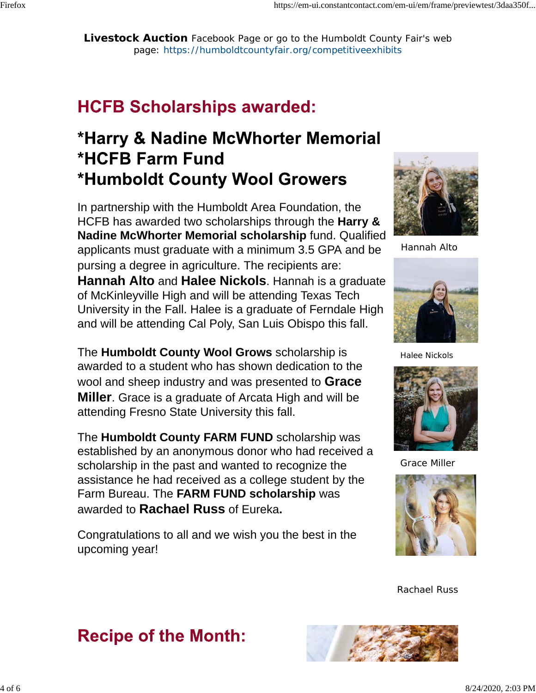**Livestock Auction** Facebook Page or go to the Humboldt County Fair's web page: https://humboldtcountyfair.org/competitiveexhibits

## **HCFB Scholarships awarded:**

## \*Harry & Nadine McWhorter Memorial **\*HCFB Farm Fund** \*Humboldt County Wool Growers

In partnership with the Humboldt Area Foundation, the HCFB has awarded two scholarships through the **Harry & Nadine McWhorter Memorial scholarship** fund. Qualified applicants must graduate with a minimum 3.5 GPA and be pursing a degree in agriculture. The recipients are: **Hannah Alto** and **Halee Nickols**. Hannah is a graduate of McKinleyville High and will be attending Texas Tech University in the Fall. Halee is a graduate of Ferndale High and will be attending Cal Poly, San Luis Obispo this fall.

The **Humboldt County Wool Grows** scholarship is awarded to a student who has shown dedication to the wool and sheep industry and was presented to **Grace Miller**. Grace is a graduate of Arcata High and will be attending Fresno State University this fall.

The **Humboldt County FARM FUND** scholarship was established by an anonymous donor who had received a scholarship in the past and wanted to recognize the assistance he had received as a college student by the Farm Bureau. The **FARM FUND scholarship** was awarded to **Rachael Russ** of Eureka**.**

Congratulations to all and we wish you the best in the upcoming year!

**Recipe of the Month:** 



Hannah Alto



Halee Nickols



Grace Miller



Rachael Russ

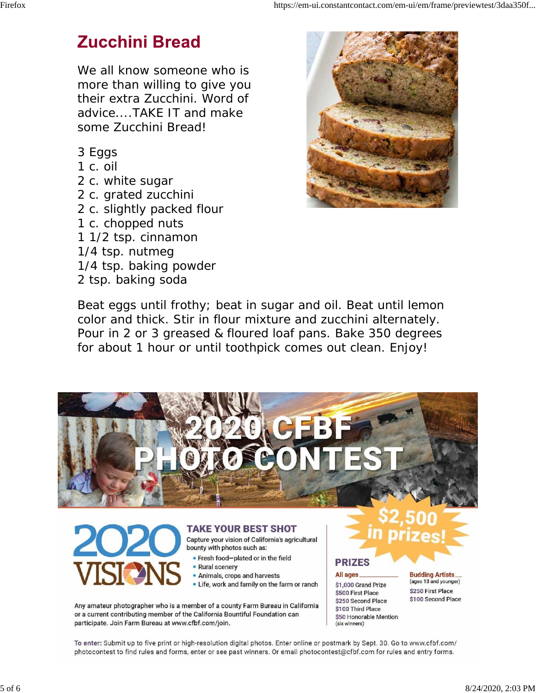#### **Zucchini Bread**

We all know someone who is more than willing to give you their extra Zucchini. Word of advice....TAKE IT and make some Zucchini Bread!

- 3 Eggs
- 1 c. oil
- 2 c. white sugar
- 2 c. grated zucchini
- 2 c. slightly packed flour
- 1 c. chopped nuts
- 1 1/2 tsp. cinnamon
- 1/4 tsp. nutmeg
- 1/4 tsp. baking powder
- 2 tsp. baking soda



Beat eggs until frothy; beat in sugar and oil. Beat until lemon color and thick. Stir in flour mixture and zucchini alternately. Pour in 2 or 3 greased & floured loaf pans. Bake 350 degrees for about 1 hour or until toothpick comes out clean. Enjoy!



#### **TAKE YOUR BEST SHOT**

Capture your vision of California's agricultural bounty with photos such as:

- . Fresh food-plated or in the field
- Rural scenery
- Animals, crops and harvests
- . Life, work and family on the farm or ranch

Any amateur photographer who is a member of a county Farm Bureau in California or a current contributing member of the California Bountiful Foundation can participate. Join Farm Bureau at www.cfbf.com/join.

All ages \$1,000 Grand Prize \$500 First Place \$250 Second Place \$100 Third Place \$50 Honorable Mention (six winners)

**PRIZES** 

**Budding Artists** (ages 13 and younger) \$250 First Place \$100 Second Place

To enter: Submit up to five print or high-resolution digital photos. Enter online or postmark by Sept. 30. Go to www.cfbf.com/ photocontest to find rules and forms, enter or see past winners. Or email photocontest@cfbf.com for rules and entry forms.